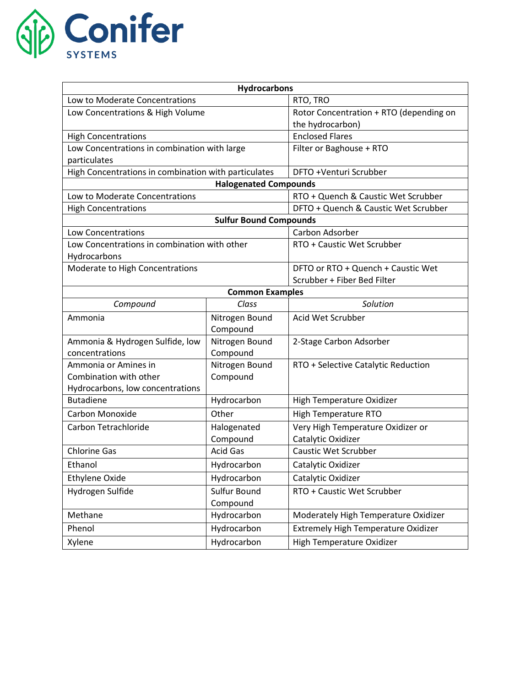

| <b>Hydrocarbons</b>                                  |                 |                                         |  |
|------------------------------------------------------|-----------------|-----------------------------------------|--|
| Low to Moderate Concentrations                       |                 | RTO, TRO                                |  |
| Low Concentrations & High Volume                     |                 | Rotor Concentration + RTO (depending on |  |
|                                                      |                 | the hydrocarbon)                        |  |
| <b>High Concentrations</b>                           |                 | <b>Enclosed Flares</b>                  |  |
| Low Concentrations in combination with large         |                 | Filter or Baghouse + RTO                |  |
| particulates                                         |                 |                                         |  |
| High Concentrations in combination with particulates |                 | DFTO +Venturi Scrubber                  |  |
| <b>Halogenated Compounds</b>                         |                 |                                         |  |
| Low to Moderate Concentrations                       |                 | RTO + Quench & Caustic Wet Scrubber     |  |
| <b>High Concentrations</b>                           |                 | DFTO + Quench & Caustic Wet Scrubber    |  |
| <b>Sulfur Bound Compounds</b>                        |                 |                                         |  |
| Low Concentrations                                   |                 | Carbon Adsorber                         |  |
| Low Concentrations in combination with other         |                 | RTO + Caustic Wet Scrubber              |  |
| Hydrocarbons                                         |                 |                                         |  |
| Moderate to High Concentrations                      |                 | DFTO or RTO + Quench + Caustic Wet      |  |
|                                                      |                 | Scrubber + Fiber Bed Filter             |  |
| <b>Common Examples</b>                               |                 |                                         |  |
| Compound                                             | Class           | Solution                                |  |
| Ammonia                                              | Nitrogen Bound  | Acid Wet Scrubber                       |  |
|                                                      | Compound        |                                         |  |
| Ammonia & Hydrogen Sulfide, low                      | Nitrogen Bound  | 2-Stage Carbon Adsorber                 |  |
| concentrations                                       | Compound        |                                         |  |
| Ammonia or Amines in                                 | Nitrogen Bound  | RTO + Selective Catalytic Reduction     |  |
| Combination with other                               | Compound        |                                         |  |
| Hydrocarbons, low concentrations                     |                 |                                         |  |
| <b>Butadiene</b>                                     | Hydrocarbon     | High Temperature Oxidizer               |  |
| Carbon Monoxide                                      | Other           | High Temperature RTO                    |  |
| Carbon Tetrachloride                                 | Halogenated     | Very High Temperature Oxidizer or       |  |
|                                                      | Compound        | Catalytic Oxidizer                      |  |
| <b>Chlorine Gas</b>                                  | <b>Acid Gas</b> | <b>Caustic Wet Scrubber</b>             |  |
| Ethanol                                              | Hydrocarbon     | Catalytic Oxidizer                      |  |
| <b>Ethylene Oxide</b>                                | Hydrocarbon     | Catalytic Oxidizer                      |  |
| Hydrogen Sulfide                                     | Sulfur Bound    | RTO + Caustic Wet Scrubber              |  |
|                                                      | Compound        |                                         |  |
| Methane                                              | Hydrocarbon     | Moderately High Temperature Oxidizer    |  |
| Phenol                                               | Hydrocarbon     | Extremely High Temperature Oxidizer     |  |
| Xylene                                               | Hydrocarbon     | High Temperature Oxidizer               |  |